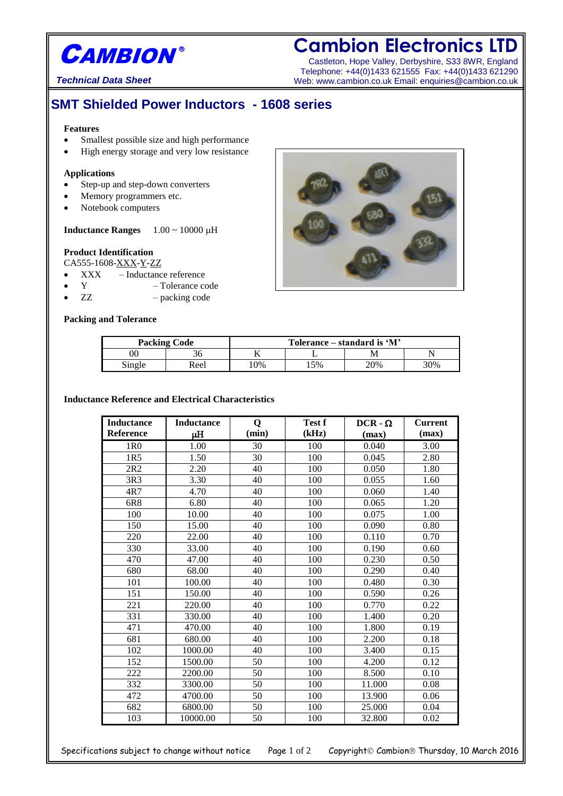

# **Cambion Electronics LTD**

Castleton, Hope Valley, Derbyshire, S33 8WR, England Telephone: +44(0)1433 621555 Fax: +44(0)1433 621290 **Technical Data Sheet** Web: www.cambion.co.uk Email: enquiries@cambion.co.uk

### **SMT Shielded Power Inductors - 1608 series**

#### **Features**

- Smallest possible size and high performance
- High energy storage and very low resistance

#### **Applications**

- Step-up and step-down converters
- Memory programmers etc.
- Notebook computers

#### **Inductance Ranges**  $1.00 \approx 10000 \mu H$

#### **Product Identification**

CA555-1608-XXX-Y-ZZ

- XXX Inductance reference
- Y Tolerance code
- $\bullet$   $ZZ$  packing code

### **Packing and Tolerance**



| <b>Packing Code</b> |      | Tolerance $-$ standard is 'M' |    |     |      |  |
|---------------------|------|-------------------------------|----|-----|------|--|
|                     |      |                               |    |     |      |  |
| Single              | Reel | $0\%$                         | 5% | 20% | 300% |  |

#### **Inductance Reference and Electrical Characteristics**

| <b>Inductance</b> | <b>Inductance</b> | Q     | Test f | $DCR - \Omega$ | <b>Current</b> |
|-------------------|-------------------|-------|--------|----------------|----------------|
| <b>Reference</b>  | μH                | (min) | (kHz)  | (max)          | (max)          |
| 1R <sub>0</sub>   | 1.00              | 30    | 100    | 0.040          | 3.00           |
| 1R5               | 1.50              | 30    | 100    | 0.045          | 2.80           |
| 2R2               | 2.20              | 40    | 100    | 0.050          | 1.80           |
| 3R3               | 3.30              | 40    | 100    | 0.055          | 1.60           |
| 4R7               | 4.70              | 40    | 100    | 0.060          | 1.40           |
| 6R8               | 6.80              | 40    | 100    | 0.065          | 1.20           |
| 100               | 10.00             | 40    | 100    | 0.075          | 1.00           |
| 150               | 15.00             | 40    | 100    | 0.090          | 0.80           |
| 220               | 22.00             | 40    | 100    | 0.110          | 0.70           |
| 330               | 33.00             | 40    | 100    | 0.190          | 0.60           |
| 470               | 47.00             | 40    | 100    | 0.230          | 0.50           |
| 680               | 68.00             | 40    | 100    | 0.290          | 0.40           |
| 101               | 100.00            | 40    | 100    | 0.480          | 0.30           |
| 151               | 150.00            | 40    | 100    | 0.590          | 0.26           |
| 221               | 220.00            | 40    | 100    | 0.770          | 0.22           |
| 331               | 330.00            | 40    | 100    | 1.400          | 0.20           |
| 471               | 470.00            | 40    | 100    | 1.800          | 0.19           |
| 681               | 680.00            | 40    | 100    | 2.200          | 0.18           |
| 102               | 1000.00           | 40    | 100    | 3.400          | 0.15           |
| 152               | 1500.00           | 50    | 100    | 4.200          | 0.12           |
| 222               | 2200.00           | 50    | 100    | 8.500          | 0.10           |
| 332               | 3300.00           | 50    | 100    | 11.000         | 0.08           |
| 472               | 4700.00           | 50    | 100    | 13.900         | 0.06           |
| 682               | 6800.00           | 50    | 100    | 25.000         | 0.04           |
| 103               | 10000.00          | 50    | 100    | 32.800         | 0.02           |

Specifications subject to change without notice Page  $1$  of  $2$  Copyright  $\odot$  Cambion  $\odot$  Thursday, 10 March 2016